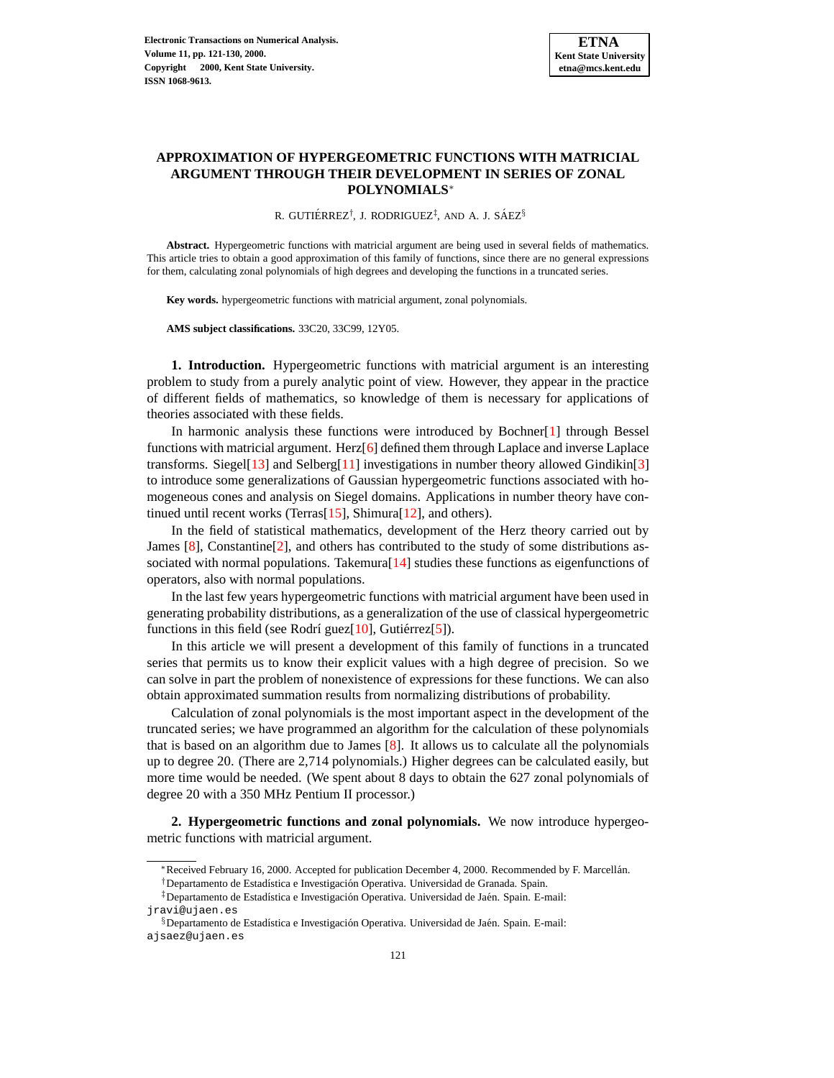## **APPROXIMATION OF HYPERGEOMETRIC FUNCTIONS WITH MATRICIAL ARGUMENT THROUGH THEIR DEVELOPMENT IN SERIES OF ZONAL POLYNOMIALS**<sup>∗</sup>

R. GUTIÉRREZ<sup>†</sup>, J. RODRIGUEZ<sup>‡</sup>, AND A. J. SÁEZ<sup>§</sup>

**Abstract.** Hypergeometric functions with matricial argument are being used in several fields of mathematics. This article tries to obtain a good approximation of this family of functions, since there are no general expressions for them, calculating zonal polynomials of high degrees and developing the functions in a truncated series.

**Key words.** hypergeometric functions with matricial argument, zonal polynomials.

**AMS subject classifications.** 33C20, 33C99, 12Y05.

**1. Introduction.** Hypergeometric functions with matricial argument is an interesting problem to study from a purely analytic point of view. However, they appear in the practice of different fields of mathematics, so knowledge of them is necessary for applications of theories associated with these fields.

In harmonic analysis these functions were introduced by Bochner[\[1\]](#page-8-0) through Bessel functions with matricial argument. Herz[\[6\]](#page-8-1) defined them through Laplace and inverse Laplace transforms. Siegel[\[13\]](#page-9-0) and Selberg[\[11\]](#page-9-1) investigations in number theory allowed Gindikin[\[3\]](#page-8-2) to introduce some generalizations of Gaussian hypergeometric functions associated with homogeneous cones and analysis on Siegel domains. Applications in number theory have continued until recent works (Terras[\[15\]](#page-9-2), Shimura[\[12\]](#page-9-3), and others).

In the field of statistical mathematics, development of the Herz theory carried out by James  $[8]$ , Constantine $[2]$ , and others has contributed to the study of some distributions associated with normal populations. Takemura[\[14\]](#page-9-5) studies these functions as eigenfunctions of operators, also with normal populations.

In the last few years hypergeometric functions with matricial argument have been used in generating probability distributions, as a generalization of the use of classical hypergeometric functions in this field (see Rodrí guez $[10]$ , Gutiérrez $[5]$  $[5]$ ).

In this article we will present a development of this family of functions in a truncated series that permits us to know their explicit values with a high degree of precision. So we can solve in part the problem of nonexistence of expressions for these functions. We can also obtain approximated summation results from normalizing distributions of probability.

Calculation of zonal polynomials is the most important aspect in the development of the truncated series; we have programmed an algorithm for the calculation of these polynomials that is based on an algorithm due to James [\[8\]](#page-9-4). It allows us to calculate all the polynomials up to degree 20. (There are 2,714 polynomials.) Higher degrees can be calculated easily, but more time would be needed. (We spent about 8 days to obtain the 627 zonal polynomials of degree 20 with a 350 MHz Pentium II processor.)

**2. Hypergeometric functions and zonal polynomials.** We now introduce hypergeometric functions with matricial argument.

<sup>∗</sup>Received February 16, 2000. Accepted for publication December 4, 2000. Recommended by F. Marcellan. ´

<sup>&</sup>lt;sup>†</sup>Departamento de Estadística e Investigación Operativa. Universidad de Granada. Spain.

<sup>&</sup>lt;sup>‡</sup>Departamento de Estadística e Investigación Operativa. Universidad de Jaén. Spain. E-mail: jravi@ujaen.es

<sup>§</sup>Departamento de Estadística e Investigación Operativa. Universidad de Jaén. Spain. E-mail: ajsaez@ujaen.es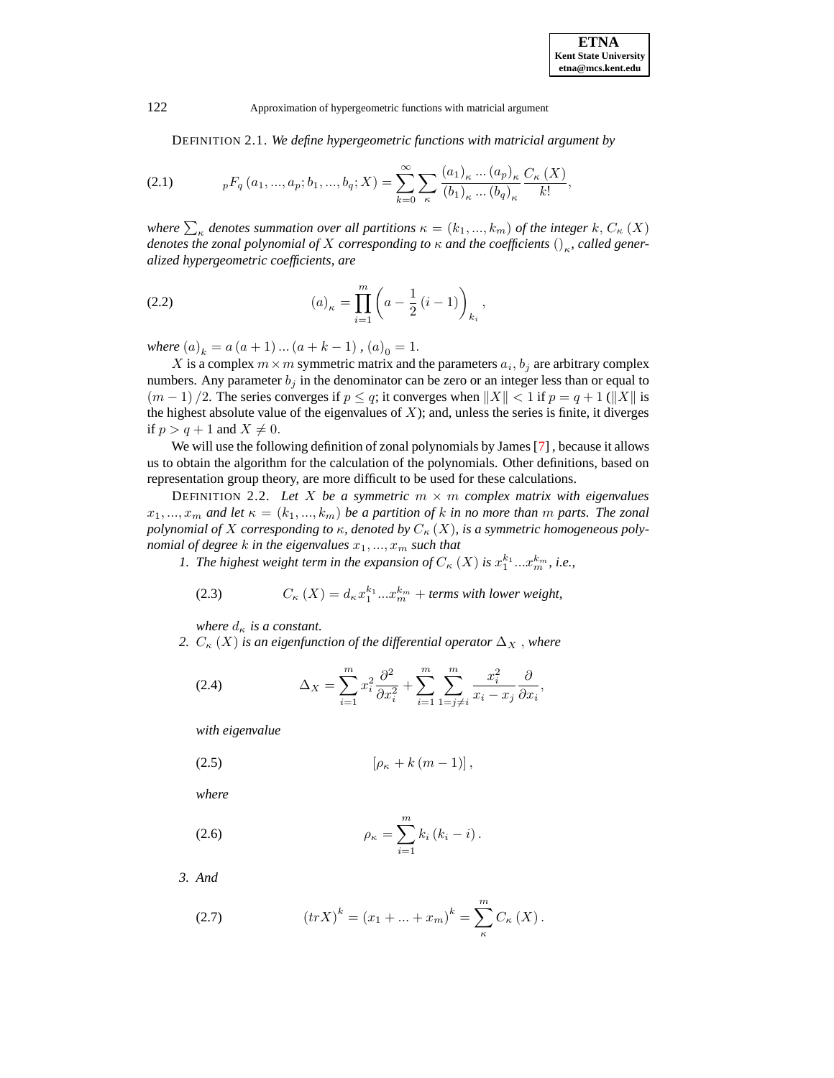122 Approximation of hypergeometric functions with matricial argument

DEFINITION 2.1. *We define hypergeometric functions with matricial argument by*

<span id="page-1-0"></span>(2.1) 
$$
{}_{p}F_{q}(a_{1},...,a_{p};b_{1},...,b_{q};X) = \sum_{k=0}^{\infty} \sum_{\kappa} \frac{(a_{1})_{\kappa}...(a_{p})_{\kappa}}{(b_{1})_{\kappa}...(b_{q})_{\kappa}} \frac{C_{\kappa}(X)}{k!},
$$

*where*  $\sum_{\kappa}$  *denotes summation over all partitions*  $\kappa = (k_1, ..., k_m)$  *of the integer*  $k, C_{\kappa}$   $(X)$ *denotes the zonal polynomial of X corresponding to*  $\kappa$  *and the coefficients*  $()_{\kappa}$ , called gener*alized hypergeometric coefficients, are*

(2.2) 
$$
(a)_{\kappa} = \prod_{i=1}^{m} \left( a - \frac{1}{2} (i - 1) \right)_{k_i},
$$

*where*  $(a)_k = a (a + 1) ... (a + k - 1)$ ,  $(a)_0 = 1$ .

X is a complex  $m \times m$  symmetric matrix and the parameters  $a_i, b_j$  are arbitrary complex numbers. Any parameter  $b_j$  in the denominator can be zero or an integer less than or equal to  $(m-1)/2$ . The series converges if  $p \leq q$ ; it converges when  $||X|| < 1$  if  $p = q + 1$  ( $||X||$  is the highest absolute value of the eigenvalues of  $X$ ); and, unless the series is finite, it diverges if  $p > q + 1$  and  $X \neq 0$ .

We will use the following definition of zonal polynomials by James [\[7\]](#page-8-5), because it allows us to obtain the algorithm for the calculation of the polynomials. Other definitions, based on representation group theory, are more difficult to be used for these calculations.

<span id="page-1-3"></span>DEFINITION 2.2. Let X be a symmetric  $m \times m$  complex matrix with eigenvalues  $x_1, ..., x_m$  and let  $\kappa = (k_1, ..., k_m)$  be a partition of k in no more than m parts. The zonal *polynomial of* X *corresponding to*  $\kappa$ *, denoted by*  $C_{\kappa}(X)$ *, is a symmetric homogeneous polynomial of degree*  $k$  *in the eigenvalues*  $x_1, ..., x_m$  *such that* 

*1. The highest weight term in the expansion of*  $C_{\kappa}(X)$  *is*  $x_1^{k_1}...x_m^{k_m}$ , *i.e.*,

(2.3) 
$$
C_{\kappa}(X) = d_{\kappa} x_1^{k_1} ... x_m^{k_m} + terms with lower weight,
$$

*where*  $d_{\kappa}$  *is a constant.* 

*2.*  $C_{\kappa}(X)$  *is an eigenfunction of the differential operator*  $\Delta_X$ , *where* 

(2.4) 
$$
\Delta_X = \sum_{i=1}^m x_i^2 \frac{\partial^2}{\partial x_i^2} + \sum_{i=1}^m \sum_{1=j \neq i}^m \frac{x_i^2}{x_i - x_j} \frac{\partial}{\partial x_i},
$$

*with eigenvalue*

$$
(2.5) \qquad \qquad [\rho_{\kappa} + k(m-1)],
$$

*where*

<span id="page-1-1"></span>(2.6) 
$$
\rho_{\kappa} = \sum_{i=1}^{m} k_i (k_i - i).
$$

<span id="page-1-2"></span>*3. And*

(2.7) 
$$
(tr X)^{k} = (x_{1} + ... + x_{m})^{k} = \sum_{\kappa}^{m} C_{\kappa} (X).
$$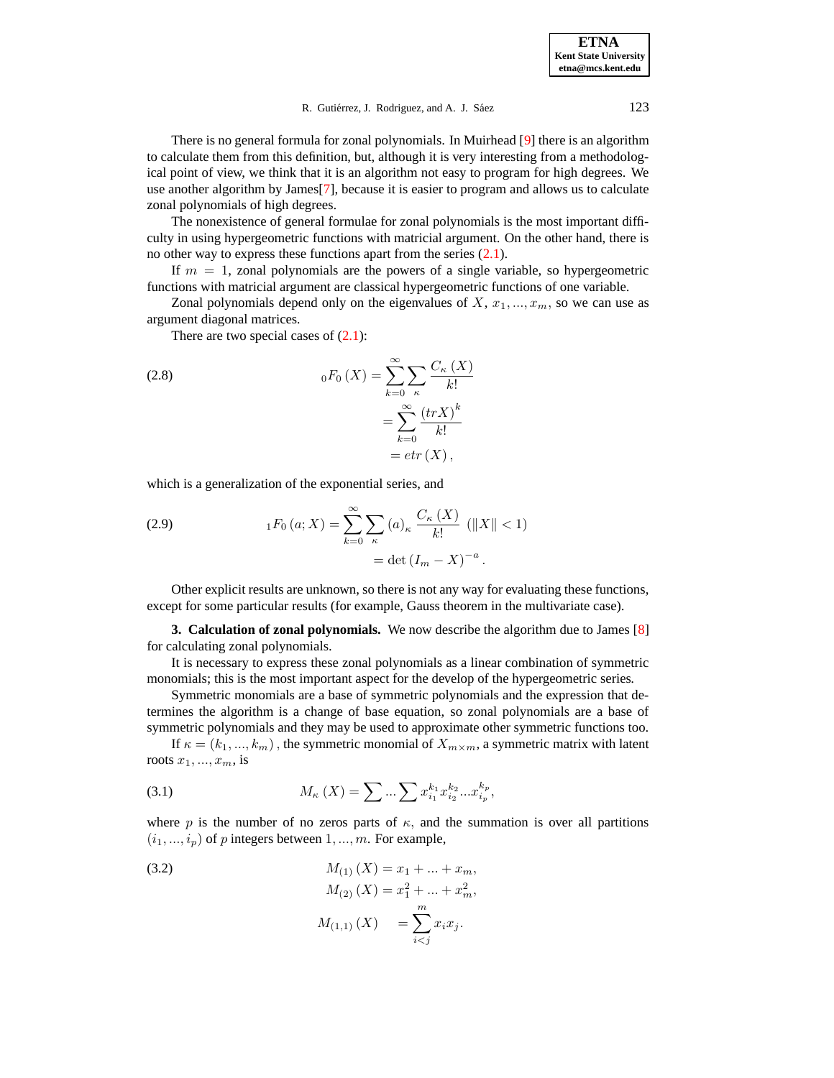There is no general formula for zonal polynomials. In Muirhead [\[9\]](#page-9-7) there is an algorithm to calculate them from this definition, but, although it is very interesting from a methodological point of view, we think that it is an algorithm not easy to program for high degrees. We use another algorithm by James[\[7\]](#page-8-5), because it is easier to program and allows us to calculate zonal polynomials of high degrees.

The nonexistence of general formulae for zonal polynomials is the most important difficulty in using hypergeometric functions with matricial argument. On the other hand, there is no other way to express these functions apart from the series  $(2.1)$ .

If  $m = 1$ , zonal polynomials are the powers of a single variable, so hypergeometric functions with matricial argument are classical hypergeometric functions of one variable.

Zonal polynomials depend only on the eigenvalues of  $X, x_1, ..., x_m$ , so we can use as argument diagonal matrices*.*

There are two special cases of  $(2.1)$ :

(2.8) 
$$
{}_{0}F_{0}(X) = \sum_{k=0}^{\infty} \sum_{\kappa} \frac{C_{\kappa}(X)}{k!}
$$

$$
= \sum_{k=0}^{\infty} \frac{(trX)^{k}}{k!}
$$

$$
= etr(X),
$$

which is a generalization of the exponential series, and

(2.9) 
$$
{}_{1}F_{0}(a;X) = \sum_{k=0}^{\infty} \sum_{\kappa} (a)_{\kappa} \frac{C_{\kappa}(X)}{k!} (\|X\| < 1)
$$

$$
= \det (I_{m} - X)^{-a}.
$$

Other explicit results are unknown, so there is not any way for evaluating these functions, except for some particular results (for example, Gauss theorem in the multivariate case).

**3. Calculation of zonal polynomials.** We now describe the algorithm due to James [\[8\]](#page-9-4) for calculating zonal polynomials.

It is necessary to express these zonal polynomials as a linear combination of symmetric monomials; this is the most important aspect for the develop of the hypergeometric series*.*

Symmetric monomials are a base of symmetric polynomials and the expression that determines the algorithm is a change of base equation, so zonal polynomials are a base of symmetric polynomials and they may be used to approximate other symmetric functions too.

If  $\kappa = (k_1, ..., k_m)$ , the symmetric monomial of  $X_{m \times m}$ , a symmetric matrix with latent roots  $x_1, \ldots, x_m$ , is

(3.1) 
$$
M_{\kappa}(X) = \sum ... \sum x_{i_1}^{k_1} x_{i_2}^{k_2} ... x_{i_p}^{k_p},
$$

where p is the number of no zeros parts of  $\kappa$ , and the summation is over all partitions  $(i_1, ..., i_p)$  of p integers between  $1, ..., m$ . For example,

(3.2) 
$$
M_{(1)} (X) = x_1 + ... + x_m,
$$

$$
M_{(2)} (X) = x_1^2 + ... + x_m^2,
$$

$$
M_{(1,1)} (X) = \sum_{i < j}^m x_i x_j.
$$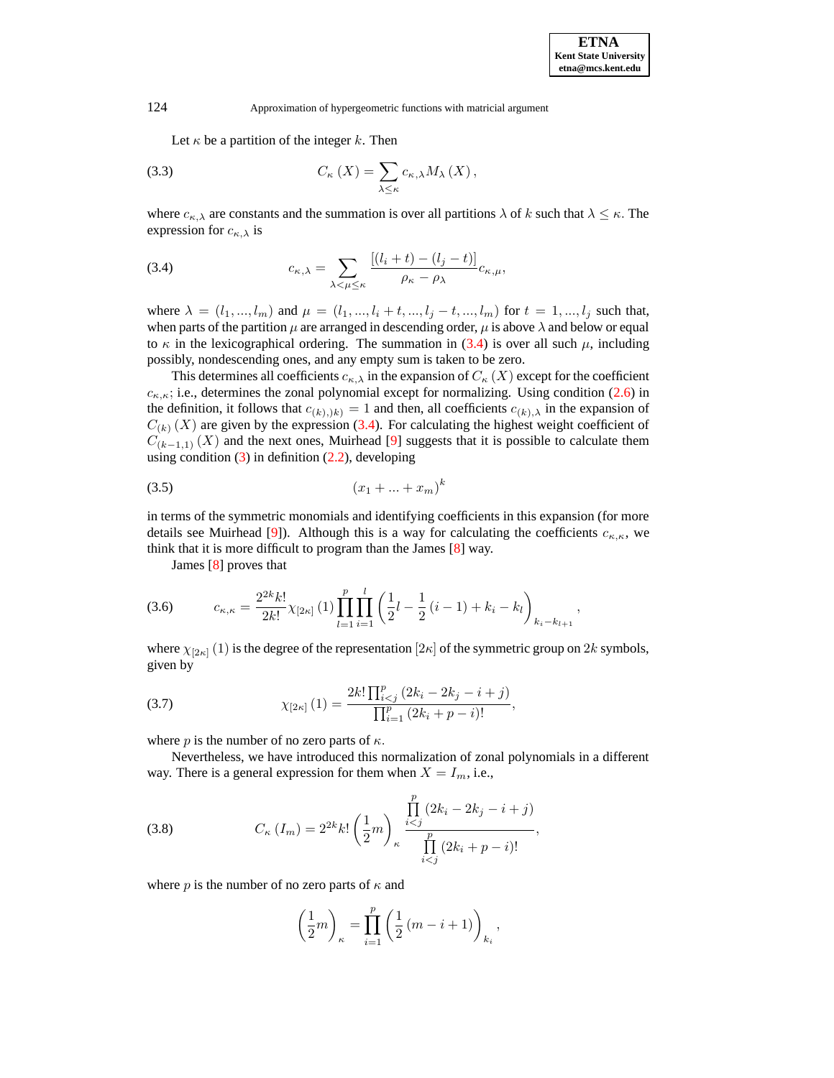124 Approximation of hypergeometric functions with matricial argument

<span id="page-3-3"></span>Let  $\kappa$  be a partition of the integer  $k$ . Then

(3.3) 
$$
C_{\kappa}(X) = \sum_{\lambda \leq \kappa} c_{\kappa,\lambda} M_{\lambda}(X),
$$

where  $c_{\kappa,\lambda}$  are constants and the summation is over all partitions  $\lambda$  of k such that  $\lambda \leq \kappa$ . The expression for  $c_{\kappa,\lambda}$  is

<span id="page-3-0"></span>(3.4) 
$$
c_{\kappa,\lambda} = \sum_{\lambda < \mu \leq \kappa} \frac{\left[ (l_i + t) - (l_j - t) \right]}{\rho_{\kappa} - \rho_{\lambda}} c_{\kappa,\mu},
$$

where  $\lambda = (l_1, ..., l_m)$  and  $\mu = (l_1, ..., l_i + t, ..., l_j - t, ..., l_m)$  for  $t = 1, ..., l_j$  such that, when parts of the partition  $\mu$  are arranged in descending order,  $\mu$  is above  $\lambda$  and below or equal to  $\kappa$  in the lexicographical ordering. The summation in [\(3.4\)](#page-3-0) is over all such  $\mu$ , including possibly, nondescending ones, and any empty sum is taken to be zero.

This determines all coefficients  $c_{\kappa,\lambda}$  in the expansion of  $C_{\kappa}(X)$  except for the coefficient  $c_{\kappa,\kappa}$ ; i.e., determines the zonal polynomial except for normalizing. Using condition [\(2.6\)](#page-1-1) in the definition, it follows that  $c_{(k),j}(k) = 1$  and then, all coefficients  $c_{(k),\lambda}$  in the expansion of  $C_{(k)}(X)$  are given by the expression [\(3.4\)](#page-3-0). For calculating the highest weight coefficient of  $C_{(k-1,1)}(X)$  and the next ones, Muirhead [\[9\]](#page-9-7) suggests that it is possible to calculate them using condition  $(3)$  in definition  $(2.2)$ , developing

$$
(3.5) \t\t\t (x_1 + ... + x_m)^k
$$

in terms of the symmetric monomials and identifying coefficients in this expansion (for more details see Muirhead [\[9\]](#page-9-7)). Although this is a way for calculating the coefficients  $c_{\kappa,\kappa}$ , we think that it is more difficult to program than the James [\[8\]](#page-9-4) way.

James [\[8\]](#page-9-4) proves that

<span id="page-3-2"></span>
$$
(3.6) \t\t c_{\kappa,\kappa} = \frac{2^{2k} k!}{2k!} \chi_{[2\kappa]}(1) \prod_{l=1}^{p} \prod_{i=1}^{l} \left(\frac{1}{2}l - \frac{1}{2}(i-1) + k_i - k_l\right)_{k_i - k_{l+1}},
$$

where  $\chi_{[2\kappa]}(1)$  is the degree of the representation  $[2\kappa]$  of the symmetric group on 2k symbols, given by

(3.7) 
$$
\chi_{[2\kappa]}(1) = \frac{2k! \prod_{i
$$

where *p* is the number of no zero parts of  $\kappa$ .

Nevertheless, we have introduced this normalization of zonal polynomials in a different way. There is a general expression for them when  $X = I_m$ , i.e.,

<span id="page-3-1"></span>(3.8) 
$$
C_{\kappa} (I_m) = 2^{2k} k! \left(\frac{1}{2}m\right)_{\kappa} \frac{\prod_{i
$$

where p is the number of no zero parts of  $\kappa$  and

$$
\left(\frac{1}{2}m\right)_{\kappa} = \prod_{i=1}^{p} \left(\frac{1}{2}\left(m-i+1\right)\right)_{k_i},
$$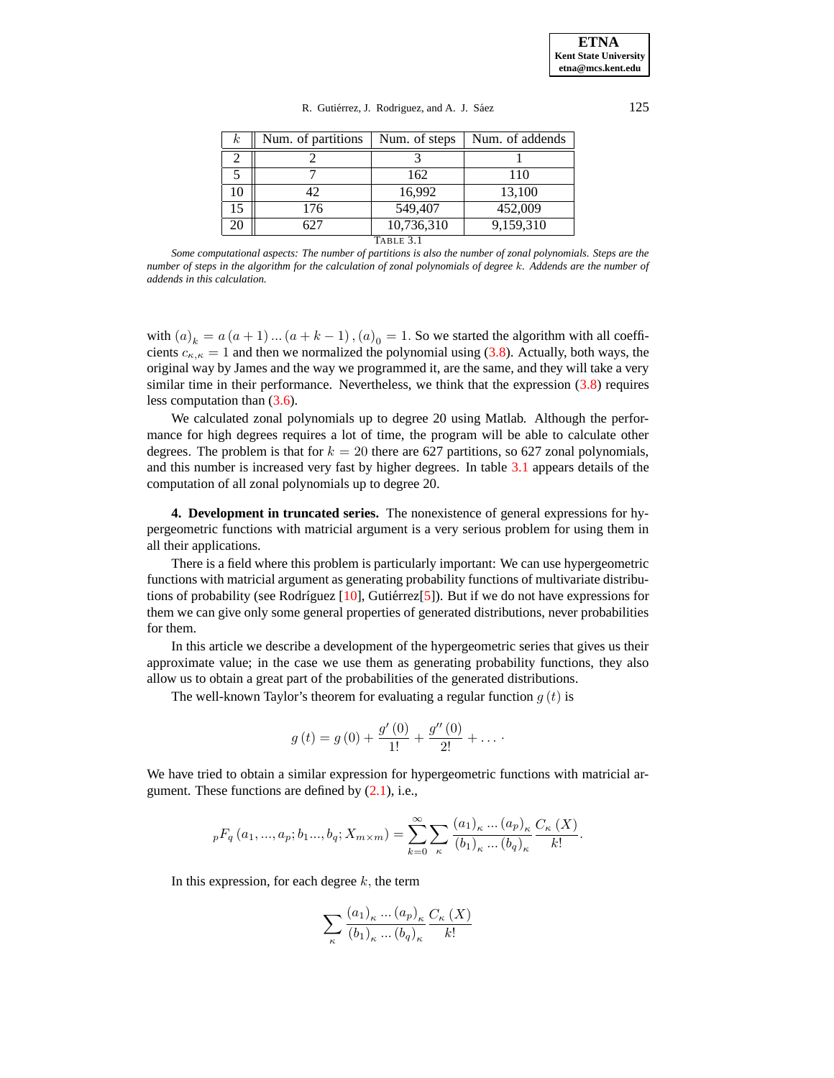| $_{\kappa}$ | Num. of partitions | Num. of steps | Num. of addends |  |  |
|-------------|--------------------|---------------|-----------------|--|--|
|             |                    |               |                 |  |  |
|             |                    | 162           | 110             |  |  |
|             | 42.                | 16,992        | 13,100          |  |  |
| 15          | 176                | 549,407       | 452,009         |  |  |
| 20          |                    | 10,736,310    | 9,159,310       |  |  |
| Table 3.1   |                    |               |                 |  |  |

R. Gutiérrez, J. Rodriguez, and A. J. Sáez  $125$ 

Some computational aspects: The number of partitions is also the number of zonal polynomials. Steps are the number of steps in the algorithm for the calculation of zonal polynomials of degree k. Addends are the number of *addends in this calculation.*

with  $(a)_k = a(a+1)...(a+k-1)$ ,  $(a)_0 = 1$ . So we started the algorithm with all coefficients  $c_{\kappa,\kappa} = 1$  and then we normalized the polynomial using [\(3.8\)](#page-3-1). Actually, both ways, the original way by James and the way we programmed it, are the same, and they will take a very similar time in their performance. Nevertheless, we think that the expression [\(3.8\)](#page-3-1) requires less computation than [\(3.6\)](#page-3-2).

We calculated zonal polynomials up to degree 20 using Matlab. Although the performance for high degrees requires a lot of time, the program will be able to calculate other degrees. The problem is that for  $k = 20$  there are 627 partitions, so 627 zonal polynomials, and this number is increased very fast by higher degrees. In table [3.1](#page-7-0) appears details of the computation of all zonal polynomials up to degree 20.

**4. Development in truncated series.** The nonexistence of general expressions for hypergeometric functions with matricial argument is a very serious problem for using them in all their applications.

There is a field where this problem is particularly important: We can use hypergeometric functions with matricial argument as generating probability functions of multivariate distributions of probability (see Rodríguez  $[10]$ , Gutiérrez $[5]$  $[5]$ ). But if we do not have expressions for them we can give only some general properties of generated distributions, never probabilities for them.

In this article we describe a development of the hypergeometric series that gives us their approximate value; in the case we use them as generating probability functions, they also allow us to obtain a great part of the probabilities of the generated distributions.

The well-known Taylor's theorem for evaluating a regular function  $g(t)$  is

$$
g(t) = g(0) + \frac{g'(0)}{1!} + \frac{g''(0)}{2!} + \dots
$$

We have tried to obtain a similar expression for hypergeometric functions with matricial argument. These functions are defined by  $(2.1)$ , i.e.,

$$
{}_{p}F_{q}(a_{1},...,a_{p};b_{1}...,b_{q};X_{m\times m}) = \sum_{k=0}^{\infty} \sum_{\kappa} \frac{(a_{1})_{\kappa}...(a_{p})_{\kappa} C_{\kappa}(X)}{(b_{1})_{\kappa}...(b_{q})_{\kappa}} \frac{C_{\kappa}(X)}{k!}.
$$

In this expression, for each degree  $k$ , the term

$$
\sum_{\kappa} \frac{(a_1)_{\kappa} \dots (a_p)_{\kappa}}{(b_1)_{\kappa} \dots (b_q)_{\kappa}} \frac{C_{\kappa}(X)}{k!}
$$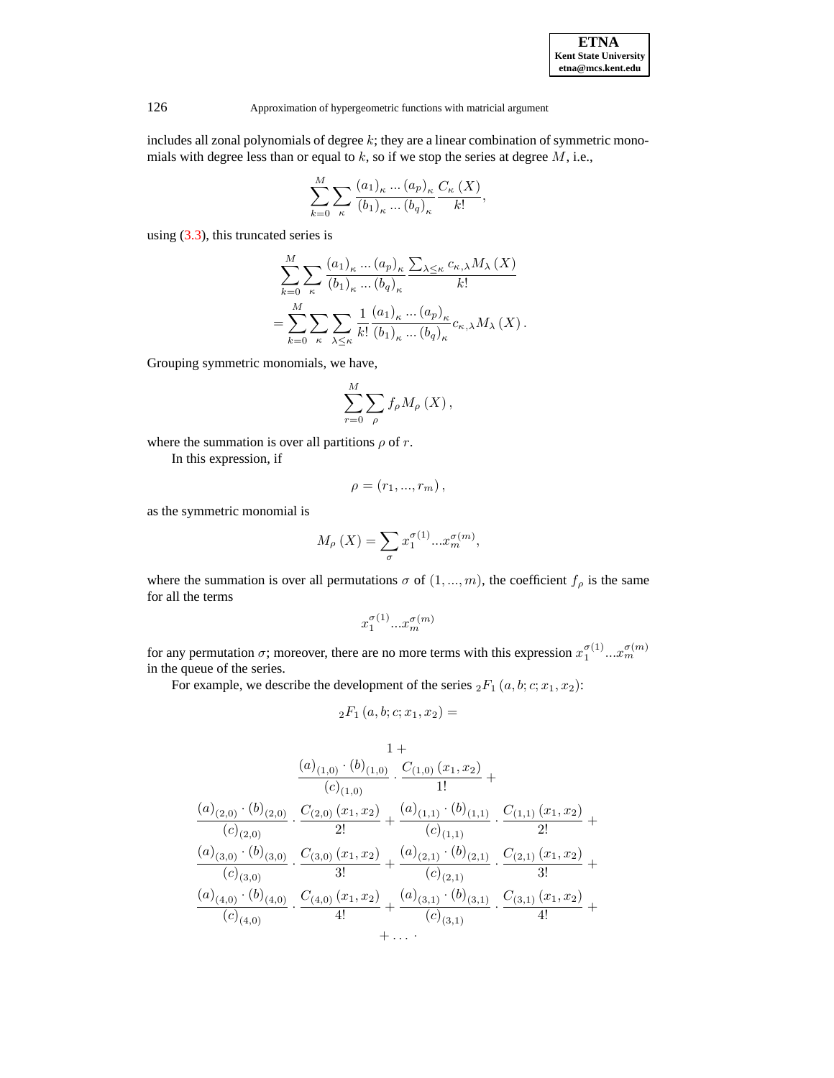| <b>ETNA</b>                  |  |  |  |
|------------------------------|--|--|--|
| <b>Kent State University</b> |  |  |  |
| etna@mcs.kent.edu            |  |  |  |

126 Approximation of hypergeometric functions with matricial argument

includes all zonal polynomials of degree  $k$ ; they are a linear combination of symmetric monomials with degree less than or equal to  $k$ , so if we stop the series at degree  $M$ , i.e.,

$$
\sum_{k=0}^{M} \sum_{\kappa} \frac{(a_1)_{\kappa} \dots (a_p)_{\kappa}}{(b_1)_{\kappa} \dots (b_q)_{\kappa}} \frac{C_{\kappa} (X)}{k!},
$$

using [\(3.3\)](#page-3-3), this truncated series is

$$
\sum_{k=0}^{M} \sum_{\kappa} \frac{(a_1)_{\kappa} \dots (a_p)_{\kappa}}{(b_1)_{\kappa} \dots (b_q)_{\kappa}} \frac{\sum_{\lambda \leq \kappa} c_{\kappa,\lambda} M_{\lambda}(X)}{k!}
$$

$$
= \sum_{k=0}^{M} \sum_{\kappa} \sum_{\lambda \leq \kappa} \frac{1}{k!} \frac{(a_1)_{\kappa} \dots (a_p)_{\kappa}}{(b_1)_{\kappa} \dots (b_q)_{\kappa}} c_{\kappa,\lambda} M_{\lambda}(X).
$$

Grouping symmetric monomials, we have,

$$
\sum_{r=0}^{M} \sum_{\rho} f_{\rho} M_{\rho} (X) ,
$$

where the summation is over all partitions  $\rho$  of r.

In this expression, if

$$
\rho =\left( r_{1},...,r_{m}\right) ,
$$

as the symmetric monomial is

$$
M_{\rho}(X) = \sum_{\sigma} x_1^{\sigma(1)} \dots x_m^{\sigma(m)},
$$

where the summation is over all permutations  $\sigma$  of  $(1, ..., m)$ , the coefficient  $f_{\rho}$  is the same for all the terms

$$
x_1^{\sigma(1)}...x_m^{\sigma(m)}
$$

for any permutation  $\sigma$ ; moreover, there are no more terms with this expression  $x_1^{\sigma(1)}...x_m^{\sigma(m)}$ in the queue of the series.

For example, we describe the development of the series  ${}_2F_1(a, b; c; x_1, x_2)$ :

$$
{}_2F_1(a,b;c;x_1,x_2) =
$$

$$
\frac{1+}{(c)_{(1,0)} \cdot (b)_{(1,0)}} \cdot \frac{C_{(1,0)} (x_1, x_2)}{1!} + \frac{(a)_{(2,0)} \cdot (b)_{(2,0)}}{c)_{(2,0)}} \cdot \frac{C_{(2,0)} (x_1, x_2)}{2!} + \frac{(a)_{(1,1)} \cdot (b)_{(1,1)}}{(c)_{(1,1)}} \cdot \frac{C_{(1,1)} (x_1, x_2)}{2!} + \frac{(a)_{(3,0)} \cdot (b)_{(3,0)}}{3!} \cdot \frac{C_{(3,0)} (x_1, x_2)}{3!} + \frac{(a)_{(2,1)} \cdot (b)_{(2,1)}}{(c)_{(2,1)}} \cdot \frac{C_{(2,1)} (x_1, x_2)}{3!} + \frac{(a)_{(4,0)} \cdot (b)_{(4,0)}}{(c)_{(4,0)}} \cdot \frac{C_{(4,0)} (x_1, x_2)}{4!} + \frac{(a)_{(3,1)} \cdot (b)_{(3,1)}}{(c)_{(3,1)}} \cdot \frac{C_{(3,1)} (x_1, x_2)}{4!} + \cdots
$$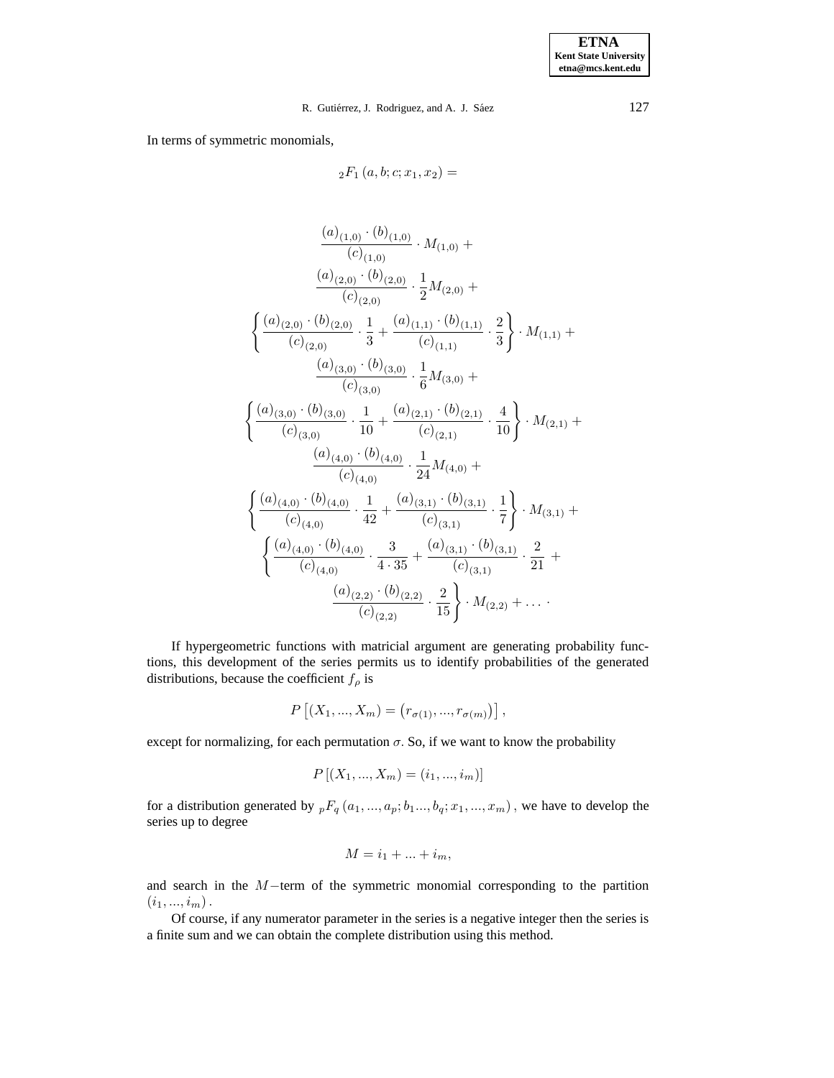## R. Gutiérrez, J. Rodriguez, and A. J. Sáez  $127$

In terms of symmetric monomials,

$$
{}_2F_1(a,b;c;x_1,x_2) =
$$

$$
\frac{(a)_{(1,0)} \cdot (b)_{(1,0)}}{(c)_{(1,0)}} \cdot M_{(1,0)} +
$$
\n
$$
\frac{(a)_{(2,0)} \cdot (b)_{(2,0)}}{(c)_{(2,0)}} \cdot \frac{1}{2} M_{(2,0)} +
$$
\n
$$
\left\{ \frac{(a)_{(2,0)} \cdot (b)_{(2,0)}}{(c)_{(2,0)}} \cdot \frac{1}{3} + \frac{(a)_{(1,1)} \cdot (b)_{(1,1)}}{(c)_{(1,1)}} \cdot \frac{2}{3} \right\} \cdot M_{(1,1)} +
$$
\n
$$
\frac{(a)_{(3,0)} \cdot (b)_{(3,0)}}{(c)_{(3,0)}} \cdot \frac{1}{6} M_{(3,0)} +
$$
\n
$$
\left\{ \frac{(a)_{(3,0)} \cdot (b)_{(3,0)}}{(c)_{(3,0)}} \cdot \frac{1}{10} + \frac{(a)_{(2,1)} \cdot (b)_{(2,1)}}{(c)_{(2,1)}} \cdot \frac{4}{10} \right\} \cdot M_{(2,1)} +
$$
\n
$$
\frac{(a)_{(4,0)} \cdot (b)_{(4,0)}}{(c)_{(4,0)}} \cdot \frac{1}{24} M_{(4,0)} +
$$
\n
$$
\left\{ \frac{(a)_{(4,0)} \cdot (b)_{(4,0)}}{(c)_{(4,0)}} \cdot \frac{1}{42} + \frac{(a)_{(3,1)} \cdot (b)_{(3,1)}}{(c)_{(3,1)}} \cdot \frac{1}{7} \right\} \cdot M_{(3,1)} +
$$
\n
$$
\left\{ \frac{(a)_{(4,0)} \cdot (b)_{(4,0)}}{(c)_{(4,0)}} \cdot \frac{3}{4 \cdot 35} + \frac{(a)_{(3,1)} \cdot (b)_{(3,1)}}{(c)_{(3,1)}} \cdot \frac{2}{21} + \frac{(a)_{(2,2)} \cdot (b)_{(2,2)}}{(c)_{(2,2)}} \cdot \frac{2}{15} \right\} \cdot M_{(2,2)} + \dots
$$

If hypergeometric functions with matricial argument are generating probability functions, this development of the series permits us to identify probabilities of the generated distributions, because the coefficient  $f_\rho$  is

$$
P [(X_1, ..., X_m) = (r_{\sigma(1)}, ..., r_{\sigma(m)})],
$$

except for normalizing, for each permutation  $\sigma$ . So, if we want to know the probability

$$
P[(X_1, ..., X_m) = (i_1, ..., i_m)]
$$

for a distribution generated by  ${}_{p}F_{q}(a_1, ..., a_p; b_1..., b_q; x_1, ..., x_m)$ , we have to develop the series up to degree

$$
M = i_1 + \dots + i_m,
$$

and search in the M−term of the symmetric monomial corresponding to the partition  $(i_1, ..., i_m)$ .

Of course, if any numerator parameter in the series is a negative integer then the series is a finite sum and we can obtain the complete distribution using this method.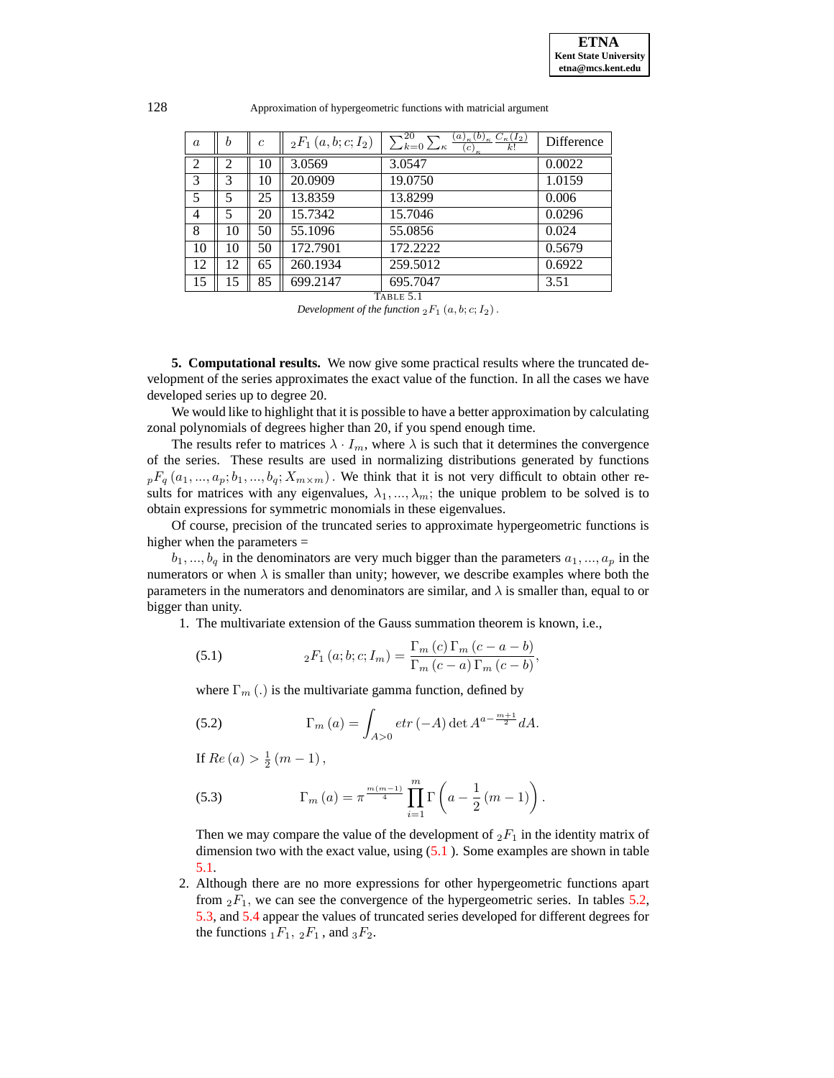| $\it a$        |  | $_2F_1(a,b;c;1_2)$ | $\neg$ 20<br>12 <sup>1</sup><br>$(u)_{\kappa}$<br>$k=0$<br>k!<br>1 K<br>с | Difference |
|----------------|--|--------------------|---------------------------------------------------------------------------|------------|
| ⌒<br>∠         |  | 3.0569             | 3.0547                                                                    |            |
| $\overline{ }$ |  | 20 UOU             | 197750                                                                    |            |

| ∼  | ∽  | 1 V | <u>J.VJVJ</u> | J.VJTI   | $v.vv \omega$ |
|----|----|-----|---------------|----------|---------------|
| 3  |    | 10  | 20.0909       | 19.0750  | 1.0159        |
| 5  |    | 25  | 13.8359       | 13.8299  | 0.006         |
| 4  |    | 20  | 15.7342       | 15.7046  | 0.0296        |
| 8  |    | 50  | 55.1096       | 55.0856  | 0.024         |
| 10 | 10 | 50  | 172.7901      | 172.2222 | 0.5679        |
| 12 | 12 | 65  | 260.1934      | 259.5012 | 0.6922        |
| 15 |    | 85  | 699.2147      | 695.7047 | 3.51          |

TABLE 5.1

<span id="page-7-0"></span>**5. Computational results.** We now give some practical results where the truncated development of the series approximates the exact value of the function. In all the cases we have developed series up to degree 20.

We would like to highlight that it is possible to have a better approximation by calculating zonal polynomials of degrees higher than 20, if you spend enough time.

The results refer to matrices  $\lambda \cdot I_m$ , where  $\lambda$  is such that it determines the convergence of the series. These results are used in normalizing distributions generated by functions  $p_{p}F_{q}(a_1,...,a_p;b_1,...,b_q;X_{m\times m})$ . We think that it is not very difficult to obtain other results for matrices with any eigenvalues,  $\lambda_1, ..., \lambda_m$ ; the unique problem to be solved is to obtain expressions for symmetric monomials in these eigenvalues.

Of course, precision of the truncated series to approximate hypergeometric functions is higher when the parameters =

 $b_1, ..., b_q$  in the denominators are very much bigger than the parameters  $a_1, ..., a_p$  in the numerators or when  $\lambda$  is smaller than unity; however, we describe examples where both the parameters in the numerators and denominators are similar, and  $\lambda$  is smaller than, equal to or bigger than unity.

1. The multivariate extension of the Gauss summation theorem is known, i.e.,

<span id="page-7-1"></span>(5.1) 
$$
{}_2F_1(a;b;c;I_m) = \frac{\Gamma_m(c)\Gamma_m(c-a-b)}{\Gamma_m(c-a)\Gamma_m(c-b)},
$$

where  $\Gamma_m$  (.) is the multivariate gamma function, defined by

(5.2) 
$$
\Gamma_m (a) = \int_{A>0} e \, tr \, (-A) \det A^{a - \frac{m+1}{2}} dA.
$$

If  $Re(a) > \frac{1}{2}(m-1)$ ,

(5.3) 
$$
\Gamma_m (a) = \pi^{\frac{m(m-1)}{4}} \prod_{i=1}^m \Gamma \left( a - \frac{1}{2} (m-1) \right).
$$

Then we may compare the value of the development of  $_2F_1$  in the identity matrix of dimension two with the exact value, using  $(5.1)$  $(5.1)$ . Some examples are shown in table [5.1.](#page-7-0)

2. Although there are no more expressions for other hypergeometric functions apart from  ${}_2F_1$ , we can see the convergence of the hypergeometric series. In tables [5.2,](#page-8-6) [5.3,](#page-8-7) and [5.4](#page-9-8) appear the values of truncated series developed for different degrees for the functions  $_1F_1$ ,  $_2F_1$ , and  $_3F_2$ .

*Development of the function*  ${}_2F_1$   $(a, b; c; I_2)$ .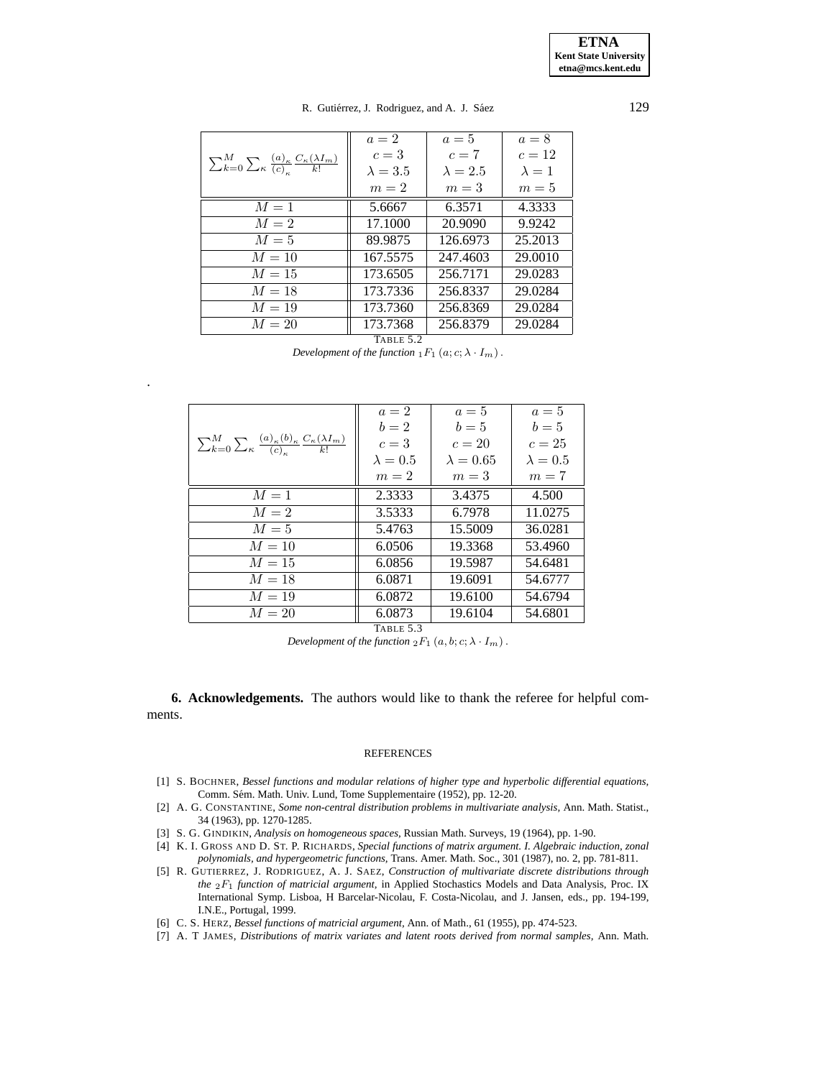**ETNA Kent State University etna@mcs.kent.edu**

## R. Gutiérrez, J. Rodriguez, and A. J. Sáez  $129$

|                                                                                                     | $a=2$                            | $a=5$           | $a=8$         |
|-----------------------------------------------------------------------------------------------------|----------------------------------|-----------------|---------------|
| $\sum_{k=0}^{M} \sum_{\kappa} \frac{(a)_{\kappa}}{(c)_{\kappa}} \frac{C_{\kappa}(\lambda I_m)}{k!}$ | $c=3$                            | $c=7$           | $c=12$        |
|                                                                                                     | $\lambda = 3.5$                  | $\lambda = 2.5$ | $\lambda = 1$ |
|                                                                                                     | $m=2$                            | $m=3$           | $m=5$         |
| $M=1$                                                                                               | 5.6667                           | 6.3571          | 4.3333        |
| $M=2$                                                                                               | 17.1000                          | 20.9090         | 9.9242        |
| $M=5$                                                                                               | 89.9875                          | 126.6973        | 25.2013       |
| $M=10$                                                                                              | 167.5575                         | 247.4603        | 29.0010       |
| $M=15$                                                                                              | 173.6505                         | 256.7171        | 29.0283       |
| $M=18$                                                                                              | 173.7336                         | 256.8337        | 29.0284       |
| $M=19$                                                                                              | 173.7360                         | 256.8369        | 29.0284       |
| $M=20$                                                                                              | 173.7368                         | 256.8379        | 29.0284       |
|                                                                                                     | $T \cdot \cdot \cdot - T$ $\cap$ |                 |               |

TABLE 5.2

*Development of the function*  $_1F_1(a; c; \lambda \cdot I_m)$ .

.

<span id="page-8-6"></span>

|                                                                                                                 | $a=2$<br>$b=2$  | $a=5$<br>$b=5$   | $a=5$<br>$b=5$  |
|-----------------------------------------------------------------------------------------------------------------|-----------------|------------------|-----------------|
| $\sum_{k=0}^{M} \sum_{\kappa} \frac{(a)_{\kappa}(b)_{\kappa}}{(c)_{\kappa}} \frac{C_{\kappa}(\lambda I_m)}{k!}$ | $c=3$           | $c=20$           | $c=25$          |
|                                                                                                                 | $\lambda = 0.5$ | $\lambda = 0.65$ | $\lambda = 0.5$ |
|                                                                                                                 | $m=2$           | $m=3$            | $m=7$           |
| $M=1$                                                                                                           | 2.3333          | 3.4375           | 4.500           |
| $M=2$                                                                                                           | 3.5333          | 6.7978           | 11.0275         |
| $M=5$                                                                                                           | 5.4763          | 15.5009          | 36.0281         |
| $M=10$                                                                                                          | 6.0506          | 19.3368          | 53.4960         |
| $M=15$                                                                                                          | 6.0856          | 19.5987          | 54.6481         |
| $M=18$                                                                                                          | 6.0871          | 19.6091          | 54.6777         |
| $M=19$                                                                                                          | 6.0872          | 19.6100          | 54.6794         |
| $M=20$                                                                                                          | 6.0873          | 19.6104          | 54.6801         |

TABLE 5.3

*Development of the function*  ${}_2F_1$   $(a, b; c; \lambda \cdot I_m)$ .

<span id="page-8-7"></span>**6. Acknowledgements.** The authors would like to thank the referee for helpful comments.

## REFERENCES

- <span id="page-8-0"></span>[1] S. BOCHNER, *Bessel functions and modular relations of higher type and hyperbolic differential equations,* Comm. Sém. Math. Univ. Lund, Tome Supplementaire (1952), pp. 12-20.
- <span id="page-8-3"></span>[2] A. G. CONSTANTINE, *Some non-central distribution problems in multivariate analysis,* Ann. Math. Statist., 34 (1963), pp. 1270-1285.
- <span id="page-8-2"></span>[3] S. G. GINDIKIN, *Analysis on homogeneous spaces,* Russian Math. Surveys, 19 (1964), pp. 1-90.
- [4] K. I. GROSS AND D. ST. P. RICHARDS, *Special functions of matrix argument. I. Algebraic induction, zonal polynomials, and hypergeometric functions,* Trans. Amer. Math. Soc., 301 (1987), no. 2, pp. 781-811.
- <span id="page-8-4"></span>[5] R. GUTIERREZ, J. RODRIGUEZ, A. J. SAEZ, *Construction of multivariate discrete distributions through the* 2F1 *function of matricial argument,* in Applied Stochastics Models and Data Analysis, Proc. IX International Symp. Lisboa, H Barcelar-Nicolau, F. Costa-Nicolau, and J. Jansen, eds., pp. 194-199, I.N.E., Portugal, 1999.
- <span id="page-8-5"></span><span id="page-8-1"></span>[6] C. S. HERZ, *Bessel functions of matricial argument,* Ann. of Math., 61 (1955), pp. 474-523.
- [7] A. T JAMES, *Distributions of matrix variates and latent roots derived from normal samples,* Ann. Math.